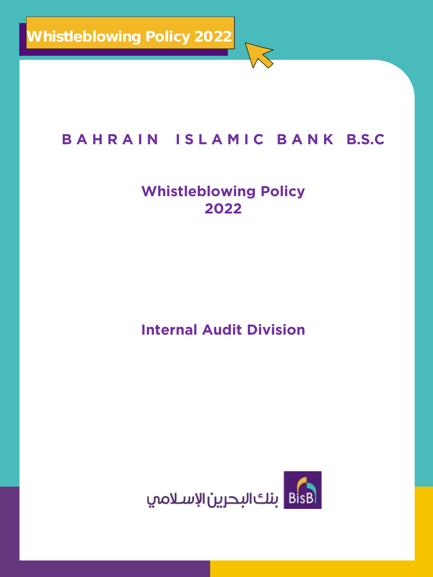## **B A H R A I N I S L A M I C B A N K B.S.C**

## **Whistleblowing Policy 2022**

**Internal Audit Division**

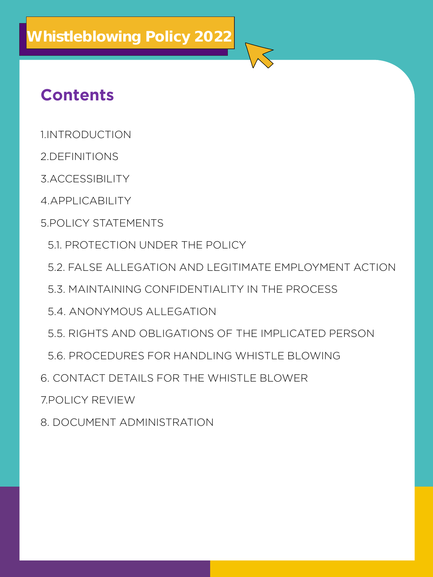## **Contents**

- 1.INTRODUCTION **1.INTRODUCTION**
- **2.DEFINITIONS**
- **3.ACCESSIBILITY**
- 4. APPLICABILITY **4.APPLICABILITY**
- **5.POLICY STATEMENTS 5.POLICY STATEMENTS**
	- 5.1. PROTECTION UNDER THE POLICY **5.1. PROTECTION UNDER THE POLICY**
	- **5.2. FALSE ALLEGATION AND LEGITIMATE EMPLOYMENT ACTION**
	- 5.3. MAINTAINING CONFIDENTIALITY IN THE PROCESS **5.3. MAINTAINING CONFIDENTIALITY IN THE PROCESS**
	- 5.4. ANONYMOUS ALLEGATION **5.4. ANONYMOUS ALLEGATION**
	- 5.5 RIGHTS AND OBLIGATIONS OF THE IMPLICATED PERSON **5.5. RIGHTS AND OBLIGATIONS OF THE IMPLICATED PERSON**
	- 5.6. PROCEDURES FOR HANDLING WHISTLE BLOWING **5.6. PROCEDURES FOR HANDLING WHISTLE BLOWING**
- **6. CONTACT DETAILS FOR THE WHISTLE BLOWER**
- *POLICY REVIEW*
- 8. DOCUMENT ADMINISTRATION **8. DOCUMENT ADMINISTRATION**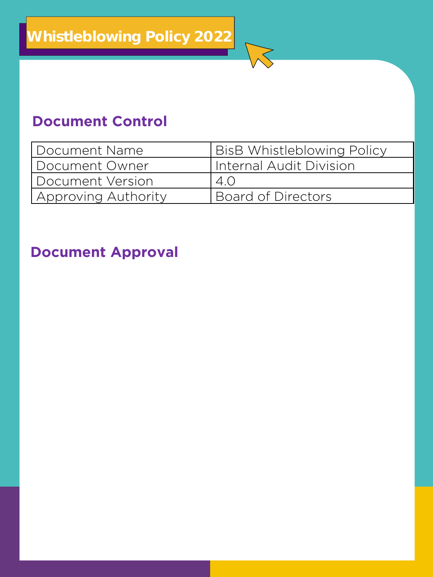## **Document Control**

| Document Name       | <b>BisB Whistleblowing Policy</b> |
|---------------------|-----------------------------------|
| Document Owner      | Internal Audit Division           |
| Document Version    | 4.0                               |
| Approving Authority | Board of Directors                |
|                     |                                   |

## **Document Approval**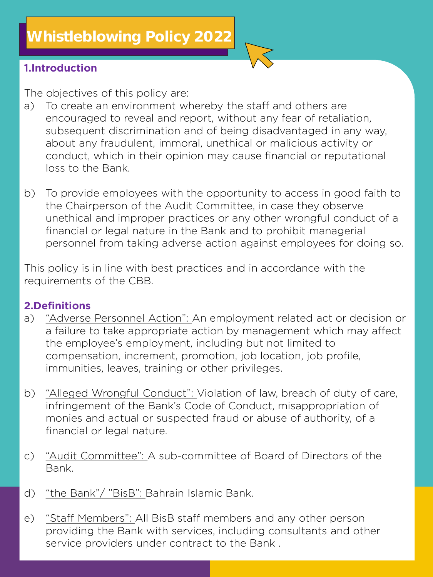### **1.Introduction**

- **The objectives of this policy are: encouraged to reveal and report, without any fear of retaliation,** subsequent discrimination and of being disadvantaged in any way. about any fraudulent, immoral, unethical or malicious activity or conduct, which in their opinion may cause financial or reputational loss to the Bank. **loss to the Bank.**
- **b) To provide employees with the opportunity to access in good faith to**  unethical and improper practices or any other wrongful conduct of a financial or legal nature in the Bank and to prohibit managerial personnel from taking adverse action against employees for doing so. **personnel from taking adverse action against employees for doing so.**

**This policy is in line with best practices and in accordance with the requirements of the CBB.**

### **2.Definitions**

- **a) "Adverse Personnel Action": An employment related act or decision or**  a) the employee's employment, including but not limited to compensation, increment, promotion, job location, job profile, immunities, leaves, training or other privileges. **immunities, leaves, training or other privileges.**
- **b) "Alleged Wrongful Conduct": Violation of law, breach of duty of care,**  b) monies and actual or suspected fraud or abuse of authority, of a financial or legal nature. **financial or legal nature.**
- "Audit Committee": A sub-committee of Board of Directors of the  $\mathcal{C}$ ) **c) "Audit Committee": A sub-committee of Board of Directors of the Bank.**
- **d) "the Bank"/ "BisB": Bahrain Islamic Bank.**
- **e) "Staff Members": All BisB staff members and any other person**  e) service providers under contract to the Bank. **service providers under contract to the Bank .**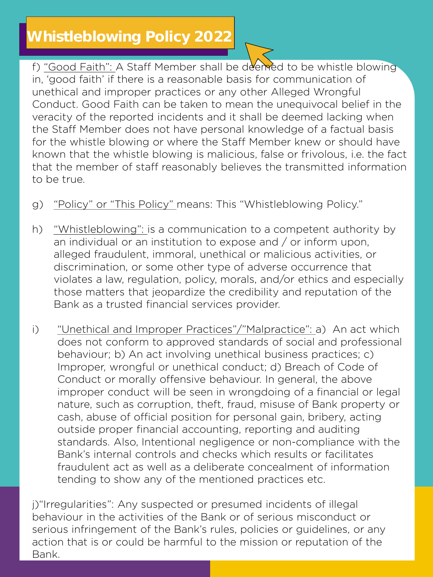## **Whistleblowing Policy 2022**

**f) "Good Faith": A Staff Member shall be deemed to be whistle blowing unethical and improper practices or any other Alleged Wrongful** Conduct. Good Faith can be taken to mean the unequivocal belief in the veracity of the reported incidents and it shall be deemed lacking when the Staff Member does not have personal knowledge of a factual basis for the whistle blowing or where the Staff Member knew or should have known that the whistle blowing is malicious, false or frivolous, *i.e.* the fact that the member of staff reasonably believes the transmitted information **that the member of staff reasonably believes the transmitted information to be true.**

- **g) "Policy" or "This Policy" means: This "Whistleblowing Policy."**
- **h) "Whistleblowing": is a communication to a competent authority by**  alleged fraudulent, immoral, unethical or malicious activities, or discrimination, or some other type of adverse occurrence that violates a law, regulation, policy, morals, and/or ethics and especially those matters that jeopardize the credibility and reputation of the Bank as a trusted financial services provider. **Bank as a trusted financial services provider.**
- **i) "Unethical and Improper Practices"/"Malpractice": a) An act which**  behaviour; b) An act involving unethical business practices; c) Improper, wrongful or unethical conduct; d) Breach of Code of Conduct or morally offensive behaviour. In general, the above improper conduct will be seen in wrongdoing of a financial or legal nature, such as corruption, theft, fraud, misuse of Bank property or cash, abuse of official position for personal gain, bribery, acting **cautivide proper financial accounting, reporting and auditing** standards. Also, Intentional negligence or non-compliance with the Bank's internal controls and checks which results or facilitates fraudulent act as well as a deliberate concealment of information frauding to show any of the mentioned practices etc. **tending to show any of the mentioned practices etc.**

**j)"Irregularities": Any suspected or presumed incidents of illegal behavious** infringement of the Bank's rules, policies or quidelines, or any action that is or could be harmful to the mission or reputation of the **action that is or could be harmful to the mission or reputation of the Bank.**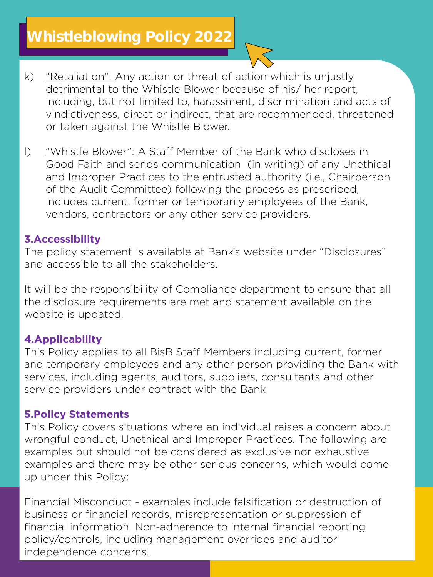## **Whistleblowing Policy 2022**

- **k) "Retaliation": Any action or threat of action which is unjustly**  including, but not limited to, harassment, discrimination and acts of vindictiveness, direct or indirect, that are recommended, threatened or taken against the Whistle Blower. **or taken against the Whistle Blower.**
- **l) "Whistle Blower": A Staff Member of the Bank who discloses in**  and Improper Practices to the entrusted authority (i.e., Chairperson of the Audit Committee) following the process as prescribed. includes current, former or temporarily employees of the Bank, vendors, contractors or any other service providers. **vendors, contractors or any other service providers.**

### **3.Accessibility**

**The policy statement is available at Bank's website under "Disclosures" and accessible to all the stakeholders.**

**It will be the responsibility of Compliance department to ensure that all**  website is updated. **website is updated.**

### **4.Applicability**

**This Policy applies to all BisB Staff Members including current, former**  services, including agents, auditors, suppliers, consultants and other service providers under contract with the Bank. **service providers under contract with the Bank.**

### **5.Policy Statements**

**This Policy covers situations where an individual raises a concern about**  examples but should not be considered as exclusive nor exhaustive examples and there may be other serious concerns, which would come up under this Policy: **up under this Policy:**

**Financial Misconduct - examples include falsification or destruction of**  financial information. Non-adherence to internal financial reporting policy/controls, including management overrides and auditor independence concerns. **independence concerns.**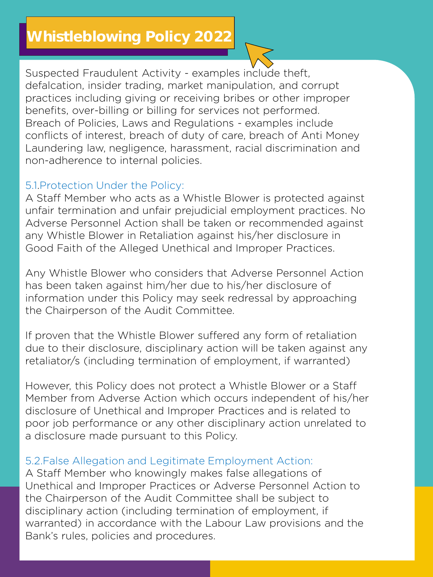**Suspected Fraudulent Activity - examples include theft,**  practices including giving or receiving bribes or other improper benefits, over-billing or billing for services not performed. Breach of Policies, Laws and Regulations - examples include **Breath of interest, breach of duty of care, breach of Anti Money** Laundering law, negligence, harassment, racial discrimination and hon-adherence to internal policies. **non-adherence to internal policies.** 

**5.1.Protection Under the Policy:**  unfair termination and unfair prejudicial employment practices. No Adverse Personnel Action shall be taken or recommended against any Whistle Blower in Retaliation against his/her disclosure in Good Faith of the Alleged Unethical and Improper Practices. **Good Faith of the Alleged Unethical and Improper Practices.** 

Any Whistle Blower who considers that Adverse Personnel Action has been taken against him/her due to his/her disclosure of information under this Policy may seek redressal by approaching the Chairperson of the Audit Committee. **the Chairperson of the Audit Committee.** 

If proven that the Whistle Blower suffered any form of retaliation due to their disclosure, disciplinary action will be taken against any retaliator/s (including termination of employment, if warranted) **retaliator/s (including termination of employment, if warranted)**

**However, this Policy does not protect a Whistle Blower or a Staff**  disclosure of Unethical and Improper Practices and is related to poor job performance or any other disciplinary action unrelated to **poor is disclosure made pursuant to this Policy. a disclosure made pursuant to this Policy.**

# **5.2.False Allegation and Legitimate Employment Action:**

Unethical and Improper Practices or Adverse Personnel Action to the Chairperson of the Audit Committee shall be subject to disciplinary action (including termination of employment, if warranted) in accordance with the Labour Law provisions and the Bank's rules, policies and procedures. **Bank's rules, policies and procedures.**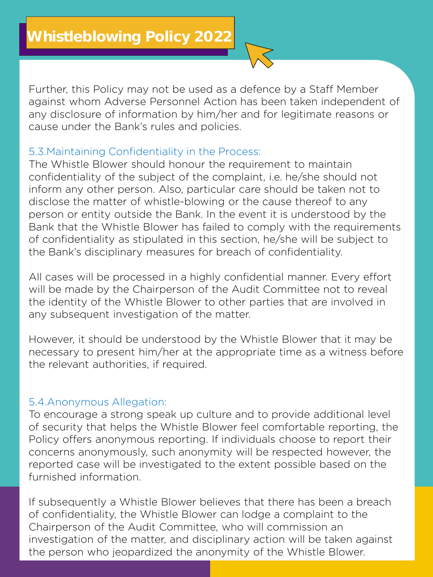**Further, this Policy may not be used as a defence by a Staff Member**  any disclosure of information by him/her and for legitimate reasons or cause under the Bank's rules and policies. **cause under the Bank's rules and policies.** 

**5.3.Maintaining Confidentiality in the Process:**  confidentiality of the subject of the complaint, *i.e.* he/she should not inform any other person. Also, particular care should be taken not to disclose the matter of whistle-blowing or the cause thereof to any person or entity outside the Bank. In the event it is understood by the Bank that the Whistle Blower has failed to comply with the requirements of confidentiality as stipulated in this section, he/she will be subject to the Bank's disciplinary measures for breach of confidentiality. **the Bank's disciplinary measures for breach of confidentiality.** 

**All cases will be processed in a highly confidential manner. Every effort**  the identity of the Whistle Blower to other parties that are involved in any subsequent investigation of the matter. **any subsequent investigation of the matter.** 

**However, it should be understood by the Whistle Blower that it may be**  the relevant authorities, if required. **the relevant authorities, if required.** 

**5.4.Anonymous Allegation:**  of security that helps the Whistle Blower feel comfortable reporting, the Policy offers anonymous reporting. If individuals choose to report their concerns anonymously, such anonymity will be respected however, the reported case will be investigated to the extent possible based on the furnished information **furnished information.**

**If subsequently a Whistle Blower believes that there has been a breach**  Chairperson of the Audit Committee, who will commission an investigation of the matter, and disciplinary action will be taken against the person who jeopardized the anonymity of the Whistle Blower. **the person who jeopardized the anonymity of the Whistle Blower.**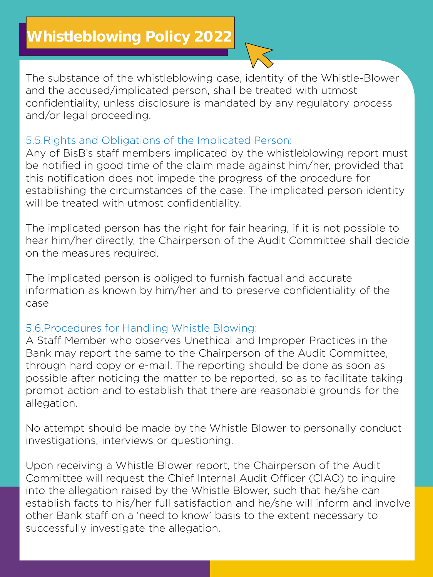**The substance of the whistleblowing case, identity of the Whistle-Blower**  confidentiality, unless disclosure is mandated by any regulatory process and/or legal proceeding. **and/or legal proceeding.** 

**5.5.Rights and Obligations of the Implicated Person:** be notified in good time of the claim made against him/her, provided that this notification does not impede the progress of the procedure for establishing the circumstances of the case. The implicated person identity will be treated with utmost confidentiality. **will be treated with utmost confidentiality.**

**The implicated person has the right for fair hearing, if it is not possible to hear measures required. on the measures required.**

**The implicated person is obliged to furnish factual and accurate information as known by him/her and to preserve confidentiality of the case**

**5.6.Procedures for Handling Whistle Blowing:**  Bank may report the same to the Chairperson of the Audit Committee, through hard copy or e-mail. The reporting should be done as soon as possible after noticing the matter to be reported, so as to facilitate taking prompt action and to establish that there are reasonable grounds for the **prompt action and to establish that there are reasonable grounds for the allegation.** 

**No attempt should be made by the Whistle Blower to personally conduct investigations, interviews or questioning.** 

**Upon receiving a Whistle Blower report, the Chairperson of the Audit**  into the allegation raised by the Whistle Blower, such that he/she can establish facts to his/her full satisfaction and he/she will inform and involve other Bank staff on a 'need to know' basis to the extent necessary to successfully investigate the allegation. **successfully investigate the allegation.**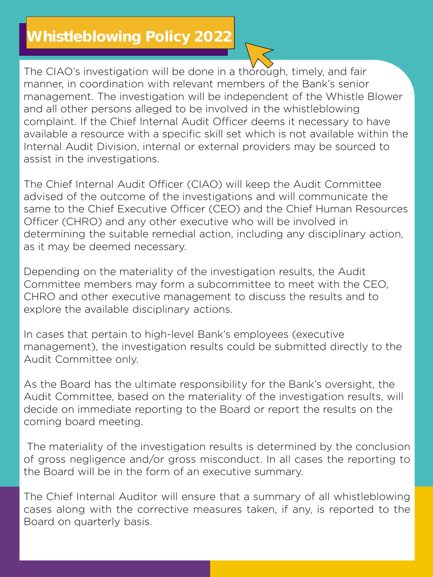## **Whistleblowing Policy 2022**

**The CIAO**'s investigation will be done in a thorough, timely, and fair manner, in coordination with relevant members of the Bank's senior **management.** The investigation will be independent of the Whistle Blower and all other persons alleged to be involved in the whistle blowing complaint. If the Chief Internal Audit Officer deems it necessary to have available a resource with a specific skill set which is not available within the Internal Audit Division, internal or external providers may be sourced to **Interal Audit Divisions in the investigations. assist in the investigations.**

The Chief Internal Audit Officer (CIAO) will keep the Audit Committee advised of the outcome of the investigations and will communicate the same to the Chief Executive Officer (CEO) and the Chief Human Resources Officer (CHRO) and any other executive who will be involved in determining the suitable remedial action, including any disciplinary action, **determing the summedial recessary. as it may be deemed necessary.**

**Depending on the materiality of the investigation results, the Audit**  CHRO and other executive management to discuss the results and to explore the available disciplinary actions. **explore the available disciplinary actions.**

**In cases that pertain to high-level Bank's employees (executive**  Audit Committee only. **Audit Committee only.**

**As the Board has the ultimate responsibility for the Bank's oversight, the**  decide on immediate reporting to the Board or report the results on the coming board meeting. **coming board meeting.** 

**The materiality of the investigation results is determined by the conclusion the Board will be in the form of an executive summary. the Board will be in the form of an executive summary.**

**The Chief Internal Auditor will ensure that a summary of all whistleblowing z** Board on quarterly basis. **Board on quarterly basis.**